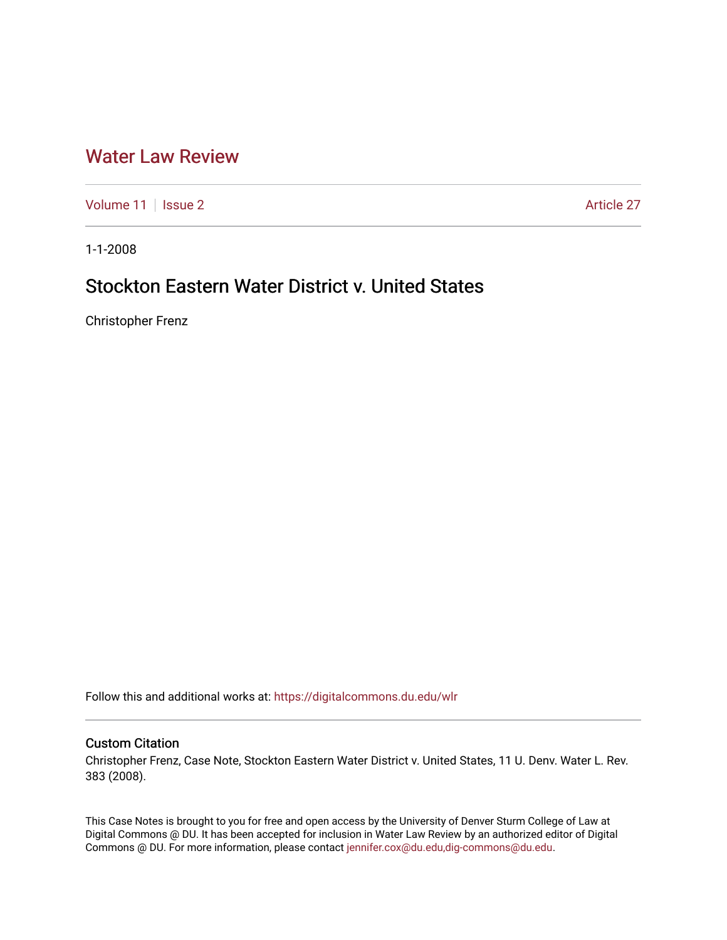# [Water Law Review](https://digitalcommons.du.edu/wlr)

[Volume 11](https://digitalcommons.du.edu/wlr/vol11) | [Issue 2](https://digitalcommons.du.edu/wlr/vol11/iss2) Article 27

1-1-2008

# Stockton Eastern Water District v. United States

Christopher Frenz

Follow this and additional works at: [https://digitalcommons.du.edu/wlr](https://digitalcommons.du.edu/wlr?utm_source=digitalcommons.du.edu%2Fwlr%2Fvol11%2Fiss2%2F27&utm_medium=PDF&utm_campaign=PDFCoverPages) 

## Custom Citation

Christopher Frenz, Case Note, Stockton Eastern Water District v. United States, 11 U. Denv. Water L. Rev. 383 (2008).

This Case Notes is brought to you for free and open access by the University of Denver Sturm College of Law at Digital Commons @ DU. It has been accepted for inclusion in Water Law Review by an authorized editor of Digital Commons @ DU. For more information, please contact [jennifer.cox@du.edu,dig-commons@du.edu.](mailto:jennifer.cox@du.edu,dig-commons@du.edu)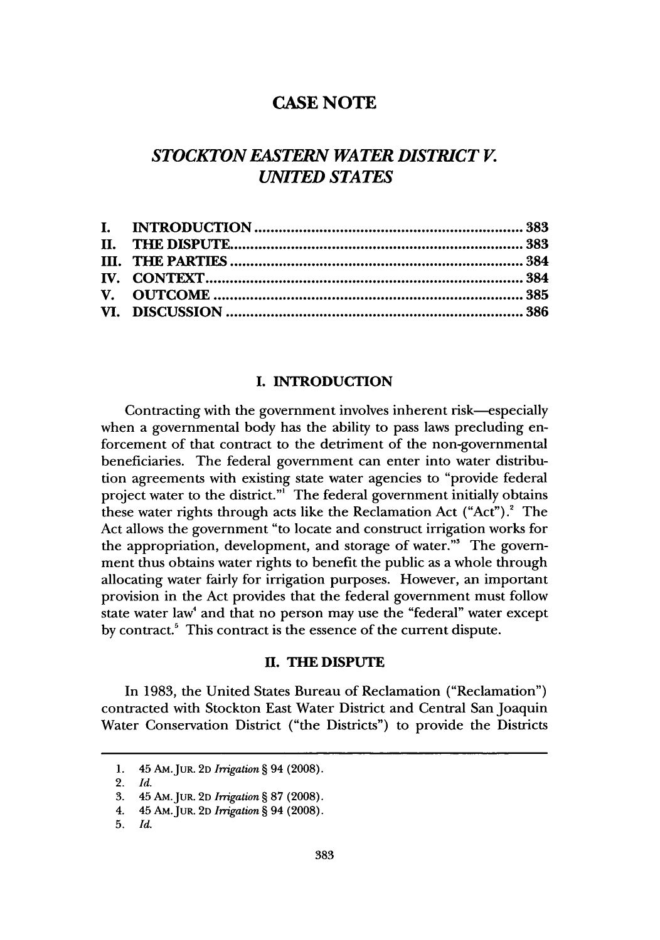# **CASE NOTE**

# *STOCKTON EASTERN WATER DISTRICT V. UNITED STATES*

## **I. INTRODUCTION**

Contracting with the government involves inherent risk—especially when a governmental body has the ability to pass laws precluding enforcement of that contract to the detriment of the non-governmental beneficiaries. The federal government can enter into water distribution agreements with existing state water agencies to "provide federal project water to the district."' The federal government initially obtains these water rights through acts like the Reclamation Act  $("Act")$ . The Act allows the government "to locate and construct irrigation works for the appropriation, development, and storage of water."<sup>3</sup> The government thus obtains water rights to benefit the public as a whole through allocating water fairly for irrigation purposes. However, an important provision in the Act provides that the federal government must follow state water law<sup>4</sup> and that no person may use the "federal" water except by contract.' This contract is the essence of the current dispute.

#### **H. THE DISPUTE**

In 1983, the United States Bureau of Reclamation ("Reclamation") contracted with Stockton East Water District and Central San Joaquin Water Conservation District ("the Districts") to provide the Districts

<sup>1. 45</sup> **AM.JuR.** 2D *Irrigation §* 94 (2008).

<sup>2.</sup> *Id.*

<sup>3. 45</sup> **AMJUR. 2D** *Irrigation §* 87 (2008).

<sup>4. 45</sup> AM.JuR. **2D** *Irrigation §* 94 (2008).

<sup>5.</sup> *Id.*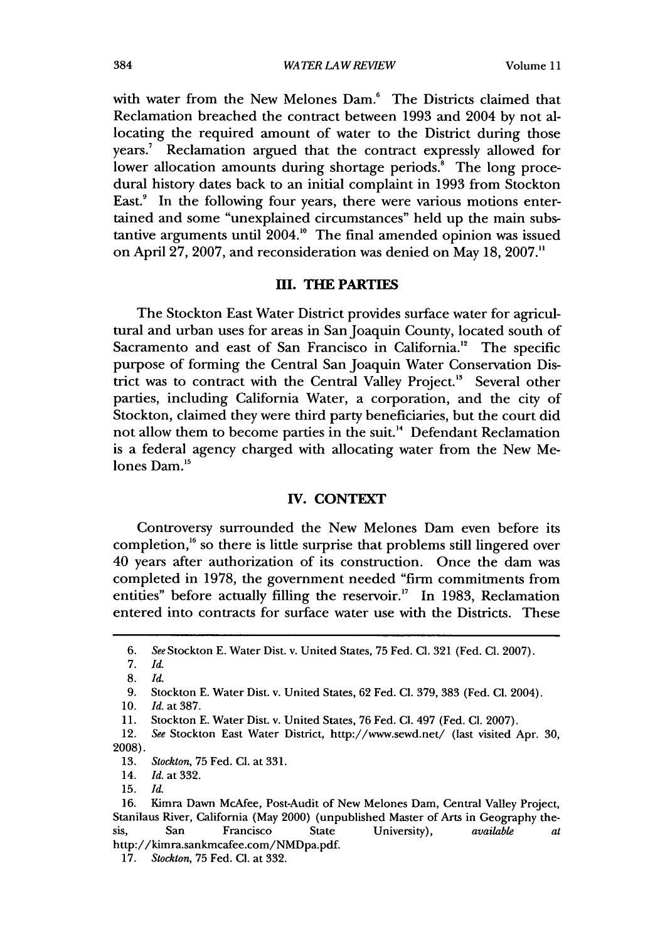with water from the New Melones Dam.<sup>6</sup> The Districts claimed that Reclamation breached the contract between 1993 and 2004 by not allocating the required amount of water to the District during those years.<sup>7</sup> Reclamation argued that the contract expressly allowed for lower allocation amounts during shortage periods.' The long procedural history dates back to an initial complaint in 1993 from Stockton East.<sup>9</sup> In the following four years, there were various motions entertained and some "unexplained circumstances" held up the main substantive arguments until  $2004.^{\circ}$  The final amended opinion was issued on April 27, 2007, and reconsideration was denied on May 18, 2007."

### **HI. THE PARTIES**

The Stockton East Water District provides surface water for agricultural and urban uses for areas in San Joaquin County, located south of Sacramento and east of San Francisco in California.<sup>12</sup> The specific purpose of forming the Central San Joaquin Water Conservation District was to contract with the Central Valley Project.<sup>18</sup> Several other parties, including California Water, a corporation, and the city of Stockton, claimed they were third party beneficiaries, but the court did not allow them to become parties in the suit.<sup>14</sup> Defendant Reclamation is a federal agency charged with allocating water from the New Melones Dam.<sup>15</sup>

## **IV. CONTEXT**

Controversy surrounded the New Melones Dam even before its completion,<sup>16</sup> so there is little surprise that problems still lingered over 40 years after authorization of its construction. Once the dam was completed in 1978, the government needed "firm commitments from entities" before actually filling the reservoir.<sup>17</sup> In 1983, Reclamation entered into contracts for surface water use with the Districts. These

<sup>6.</sup> *See* Stockton E. Water Dist. v. United States, 75 Fed. **Cl.** 321 (Fed. **Cl.** 2007).

<sup>7.</sup> *Id.*

<sup>8.</sup> *Id.*

<sup>9.</sup> Stockton E. Water Dist. v. United States, 62 Fed. **Cl.** 379, 383 (Fed. **Cl.** 2004).

<sup>10.</sup> *Id.* at 387.

<sup>11.</sup> Stockton E. Water Dist. v. United States, 76 Fed. **Cl.** 497 (Fed. **Cl.** 2007).

<sup>12.</sup> *See* Stockton East Water District, http://www.sewd.net/ (last visited Apr. 30, **2008).**

<sup>13.</sup> *Stockton,* 75 Fed. **Cl.** at 331.

<sup>14.</sup> *Id. at* 332.

<sup>15.</sup> *Id.*

<sup>16.</sup> Kimra Dawn McAfee, Post-Audit of New Melones Dam, Central Valley Project, Stanilaus River, California (May 2000) (unpublished Master of Arts in Geography thesis, San Francisco State University), *available at* http://kimra.sankmcafee.com/NMDpa.pdf.

<sup>17.</sup> *Stockton,* 75 Fed. **Cl.** at 332.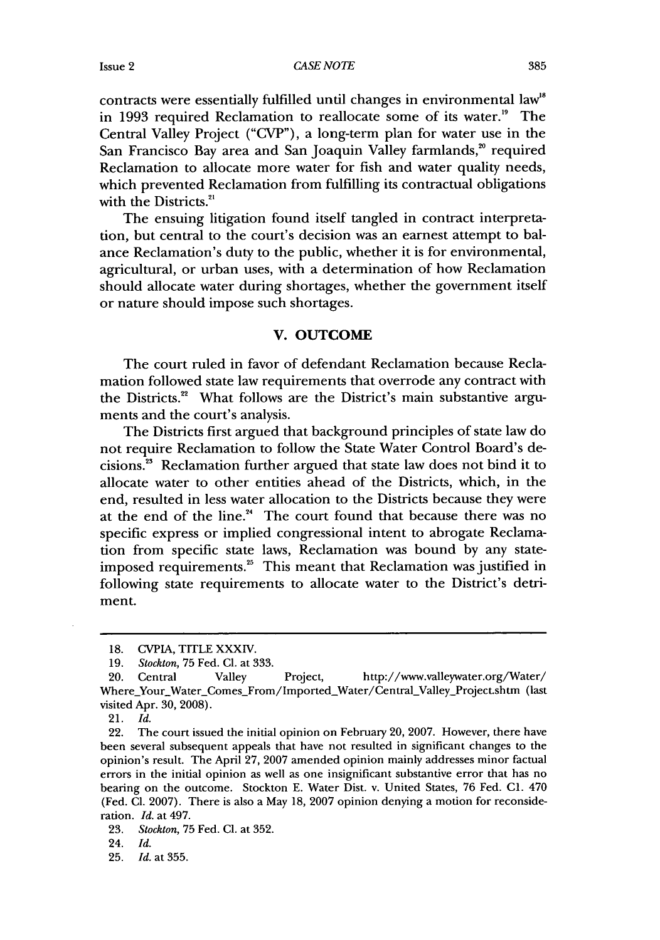*CASE NOTE*

contracts were essentially fulfilled until changes in environmental law" in 1993 required Reclamation to reallocate some of its water.<sup>19</sup> The Central Valley Project ("CVP"), a long-term plan for water use in the San Francisco Bay area and San Joaquin Valley farmlands,<sup>20</sup> required Reclamation to allocate more water for fish and water quality needs, which prevented Reclamation from fulfilling its contractual obligations with the Districts.<sup>21</sup>

The ensuing litigation found itself tangled in contract interpretation, but central to the court's decision was an earnest attempt to balance Reclamation's duty to the public, whether it is for environmental, agricultural, or urban uses, with a determination of how Reclamation should allocate water during shortages, whether the government itself or nature should impose such shortages.

#### V. **OUTCOME**

The court ruled in favor of defendant Reclamation because Reclamation followed state law requirements that overrode any contract with the Districts.<sup>22</sup> What follows are the District's main substantive arguments and the court's analysis.

The Districts first argued that background principles of state law do not require Reclamation to follow the State Water Control Board's decisions.23 Reclamation further argued that state law does not bind it to allocate water to other entities ahead of the Districts, which, in the end, resulted in less water allocation to the Districts because they were at the end of the line. $4$  The court found that because there was no specific express or implied congressional intent to abrogate Reclamation from specific state laws, Reclamation was bound by any stateimposed requirements." This meant that Reclamation was justified in following state requirements to allocate water to the District's detriment.

**<sup>18.</sup> CVPIA,** TITLE XXXIV.

**<sup>19.</sup>** *Stockton,* 75 Fed. **Cl.** at 333.

<sup>20.</sup> Central Valley Project, http://www.valleywater.org/Water/ Where\_Your\_Water\_Comes\_From/Imported\_Water/Central\_Valley\_Project.shtm (last visited Apr. **30,** 2008).

<sup>21.</sup> *Id.*

<sup>22.</sup> The court issued the initial opinion on February 20, 2007. However, there have been several subsequent appeals that have not resulted in significant changes to the opinion's result. The April 27, 2007 amended opinion mainly addresses minor factual errors in the initial opinion as well as one insignificant substantive error that has no bearing on the outcome. Stockton E. Water Dist. v. United States, 76 Fed. **C1.** 470 (Fed. **Cl.** 2007). There is also a May 18, 2007 opinion denying a motion for reconsideration. *Id.* at 497.

<sup>23.</sup> *Stockton,* 75 Fed. CI. at 352.

<sup>24.</sup> *Id.*

<sup>25.</sup> *Id. at 355.*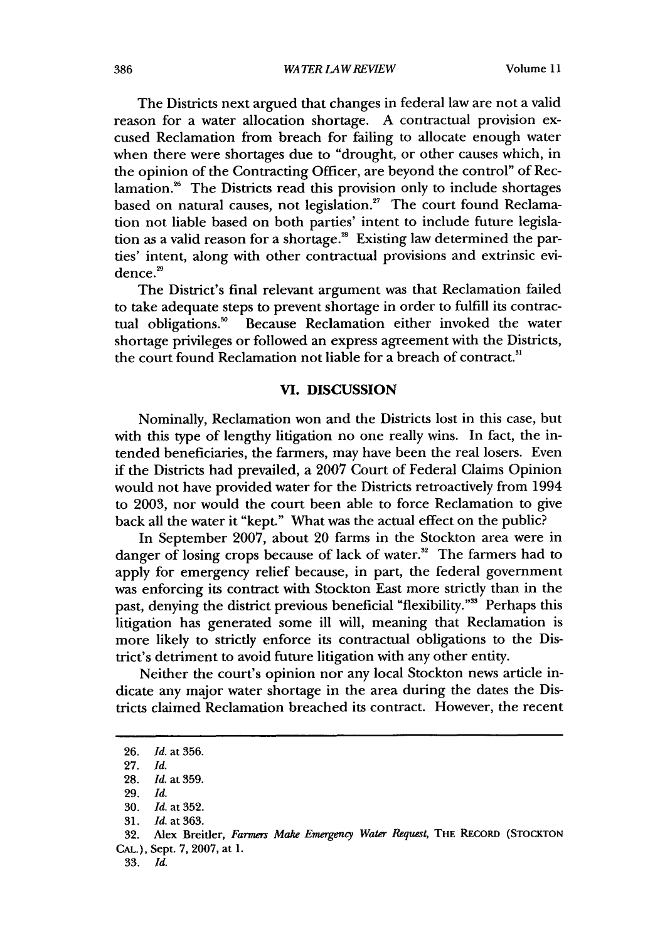The Districts next argued that changes in federal law are not a valid reason for a water allocation shortage. A contractual provision excused Reclamation from breach for failing to allocate enough water when there were shortages due to "drought, or other causes which, in the opinion of the Contracting Officer, are beyond the control" of Reclamation.<sup>26</sup> The Districts read this provision only to include shortages based on natural causes, not legislation.<sup>27</sup> The court found Reclamation not liable based on both parties' intent to include future legislation as a valid reason for a shortage.<sup>28</sup> Existing law determined the parties' intent, along with other contractual provisions and extrinsic evidence.<sup>29</sup>

The District's final relevant argument was that Reclamation failed to take adequate steps to prevent shortage in order to fulfill its contractual obligations.<sup>30</sup> Because Reclamation either invoked the water shortage privileges or followed an express agreement with the Districts, 'shortage privileges of followed all express agreement with the Di-

#### **VI. DISCUSSION**

Nominally, Reclamation won and the Districts lost in this case, but with this type of lengthy litigation no one really wins. In fact, the intended beneficiaries, the farmers, may have been the real losers. Even if the Districts had prevailed, a **2007** Court of Federal Claims Opinion would not have provided water for the Districts retroactively from 1994 to 2003, nor would the court been able to force Reclamation to give back all the water it "kept." What was the actual effect on the public?

In September 2007, about 20 farms in the Stockton area were in danger of losing crops because of lack of water. $^{32}$  The farmers had to apply for emergency relief because, in part, the federal government was enforcing its contract with Stockton East more strictly than in the past, denying the district previous beneficial "flexibility."" Perhaps this litigation has generated some ill will, meaning that Reclamation is more likely to strictly enforce its contractual obligations to the District's detriment to avoid future litigation with any other entity.

Neither the court's opinion nor any local Stockton news article indicate any major water shortage in the area during the dates the Districts claimed Reclamation breached its contract. However, the recent

<sup>26.</sup> *Id. at* 356.

<sup>27.</sup> *Id.*

<sup>28.</sup> Id. at 359.

<sup>29.</sup> *Id.*

<sup>30.</sup> Id. at 352.

<sup>31.</sup> *Id.* at 363.

<sup>32.</sup> Alex Breitler, *Farmers Make Emergency Water Request,* THE RECORD **(STOCKTON** CAL.), Sept. 7, 2007, at 1.